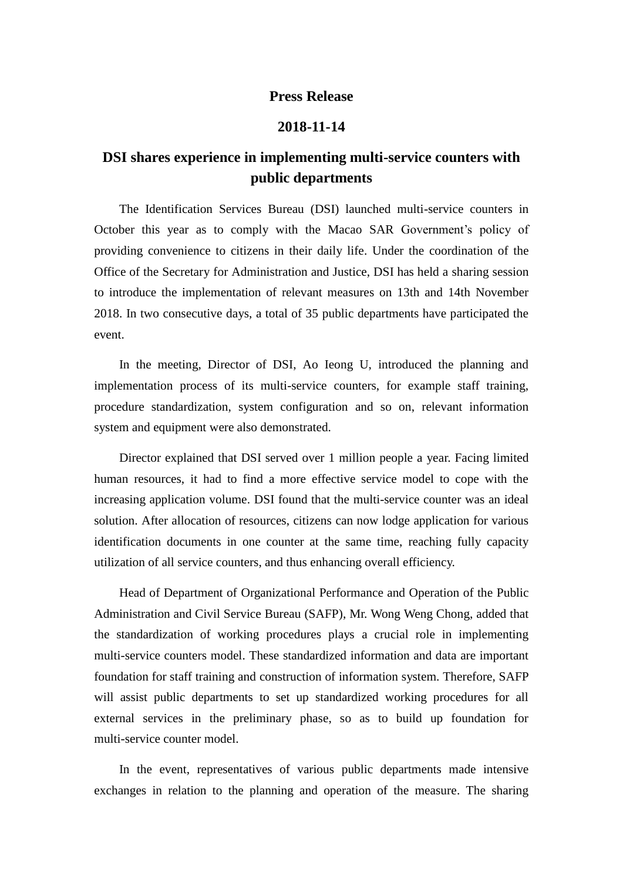## **Press Release**

## **2018-11-14**

## **DSI shares experience in implementing multi-service counters with public departments**

The Identification Services Bureau (DSI) launched multi-service counters in October this year as to comply with the Macao SAR Government's policy of providing convenience to citizens in their daily life. Under the coordination of the Office of the Secretary for Administration and Justice, DSI has held a sharing session to introduce the implementation of relevant measures on 13th and 14th November 2018. In two consecutive days, a total of 35 public departments have participated the event.

In the meeting, Director of DSI, Ao Ieong U, introduced the planning and implementation process of its multi-service counters, for example staff training, procedure standardization, system configuration and so on, relevant information system and equipment were also demonstrated.

Director explained that DSI served over 1 million people a year. Facing limited human resources, it had to find a more effective service model to cope with the increasing application volume. DSI found that the multi-service counter was an ideal solution. After allocation of resources, citizens can now lodge application for various identification documents in one counter at the same time, reaching fully capacity utilization of all service counters, and thus enhancing overall efficiency.

Head of Department of Organizational Performance and Operation of the Public Administration and Civil Service Bureau (SAFP), Mr. Wong Weng Chong, added that the standardization of working procedures plays a crucial role in implementing multi-service counters model. These standardized information and data are important foundation for staff training and construction of information system. Therefore, SAFP will assist public departments to set up standardized working procedures for all external services in the preliminary phase, so as to build up foundation for multi-service counter model.

In the event, representatives of various public departments made intensive exchanges in relation to the planning and operation of the measure. The sharing